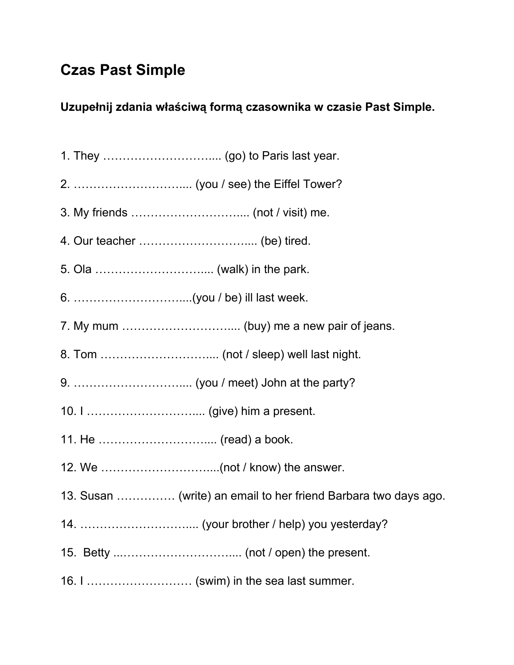## **Czas Past Simple**

## **Uzupełnij zdania właściwą formą czasownika w czasie Past Simple.**

- 1. They ……………………….... (go) to Paris last year.
- 2. ……………………….... (you / see) the Eiffel Tower?
- 3. My friends ……………………….... (not / visit) me.
- 4. Our teacher ……………………….... (be) tired.
- 5. Ola ……………………….... (walk) in the park.
- 6. ………………………....(you / be) ill last week.
- 7. My mum ……………………….... (buy) me a new pair of jeans.
- 8. Tom ……………………….... (not / sleep) well last night.
- 9. ……………………….... (you / meet) John at the party?
- 10. I ……………………….... (give) him a present.
- 11. He ……………………….... (read) a book.
- 12. We ………………………....(not / know) the answer.
- 13. Susan …………… (write) an email to her friend Barbara two days ago.
- 14. ……………………….... (your brother / help) you yesterday?
- 15. Betty ...……………………….... (not / open) the present.
- 16. I ……………………… (swim) in the sea last summer.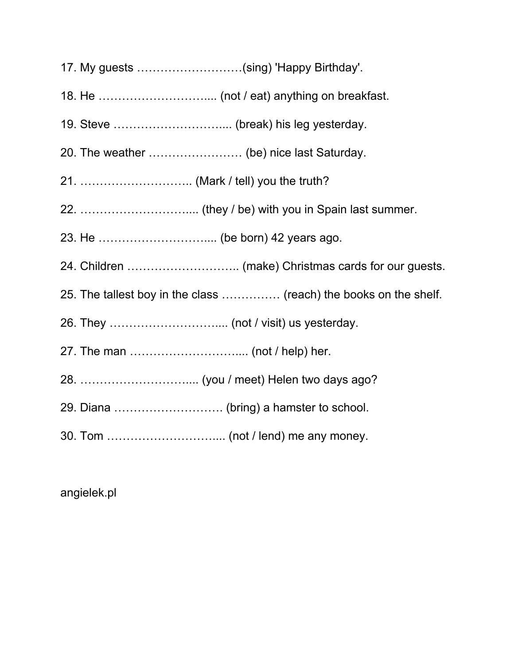- 17. My guests ………………………(sing) 'Happy Birthday'.
- 18. He ……………………….... (not / eat) anything on breakfast.
- 19. Steve ……………………….... (break) his leg yesterday.
- 20. The weather …………………… (be) nice last Saturday.
- 21. ……………………….. (Mark / tell) you the truth?
- 22. ……………………….... (they / be) with you in Spain last summer.
- 23. He ……………………….... (be born) 42 years ago.
- 24. Children ……………………….. (make) Christmas cards for our guests.
- 25. The tallest boy in the class …………… (reach) the books on the shelf.
- 26. They ……………………….... (not / visit) us yesterday.
- 27. The man ……………………….... (not / help) her.
- 28. ……………………….... (you / meet) Helen two days ago?
- 29. Diana ………………………. (bring) a hamster to school.
- 30. Tom ……………………….... (not / lend) me any money.

angielek.pl